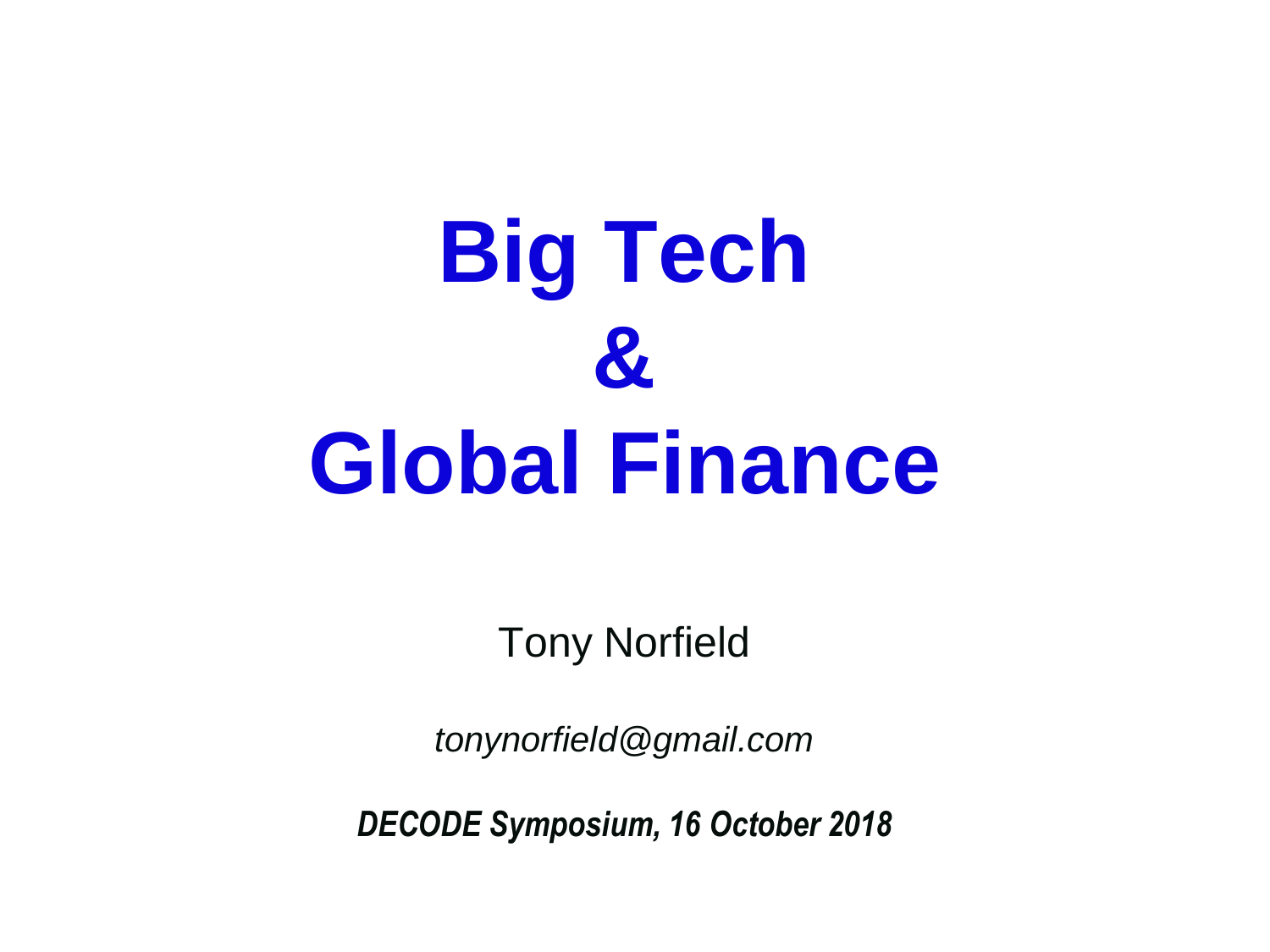

Tony Norfield

*tonynorfield@gmail.com*

*DECODE Symposium, 16 October 2018*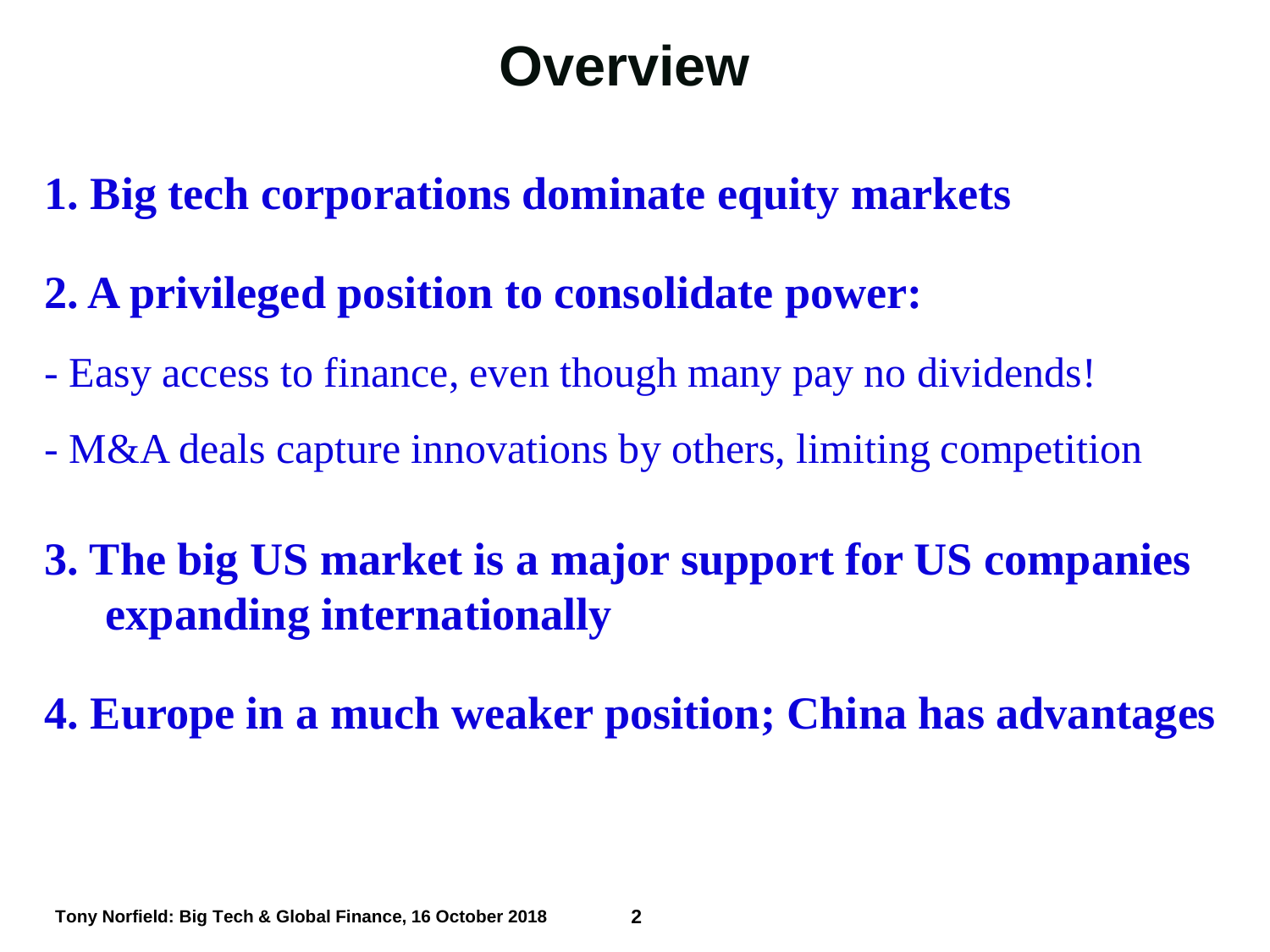### **Overview**

- **1. Big tech corporations dominate equity markets**
- **2. A privileged position to consolidate power:**
- Easy access to finance, even though many pay no dividends!
- M&A deals capture innovations by others, limiting competition
- **3. The big US market is a major support for US companies expanding internationally**
- **4. Europe in a much weaker position; China has advantages**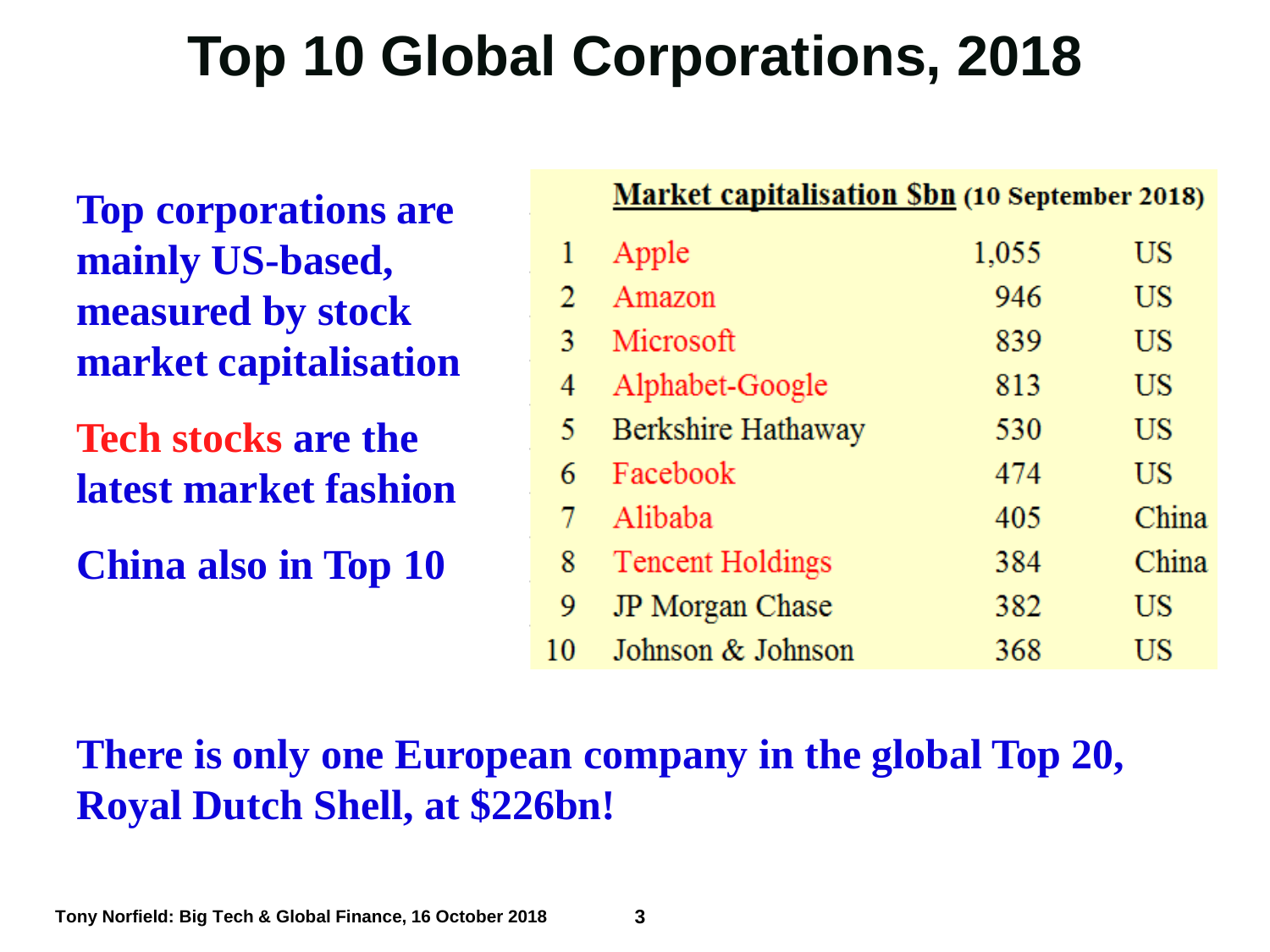## **Top 10 Global Corporations, 2018**

**Top corporations are mainly US-based, measured by stock market capitalisation**

**Tech stocks are the latest market fashion**

**China also in Top 10**

|    | <b>Market capitalisation Sbn (10 September 2018)</b> |       |           |
|----|------------------------------------------------------|-------|-----------|
| 1  | Apple                                                | 1,055 | US        |
| 2  | Amazon                                               | 946   | US        |
| 3  | Microsoft                                            | 839   | US        |
| 4  | Alphabet-Google                                      | 813   | <b>US</b> |
| 5. | Berkshire Hathaway                                   | 530   | <b>US</b> |
| 6  | Facebook                                             | 474   | US        |
| 7  | Alibaba                                              | 405   | China     |
| 8  | <b>Tencent Holdings</b>                              | 384   | China     |
| 9  | JP Morgan Chase                                      | 382   | US        |
| 0  | Johnson & Johnson                                    | 368   | US        |

#### **There is only one European company in the global Top 20, Royal Dutch Shell, at \$226bn!**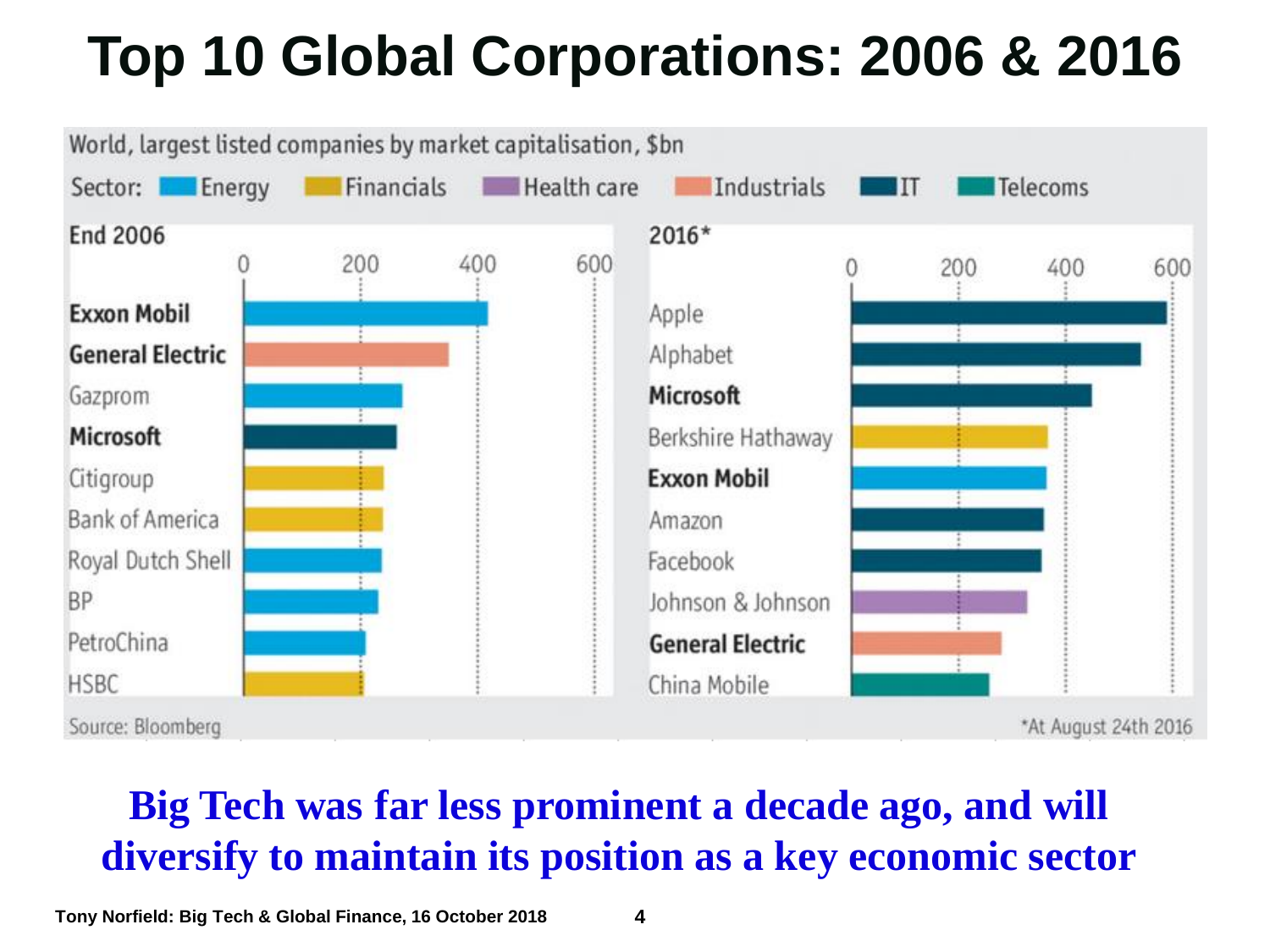# **Top 10 Global Corporations: 2006 & 2016**



#### **Big Tech was far less prominent a decade ago, and will diversify to maintain its position as a key economic sector**

**Tony Norfield: Big Tech & Global Finance, 16 October 2018 4**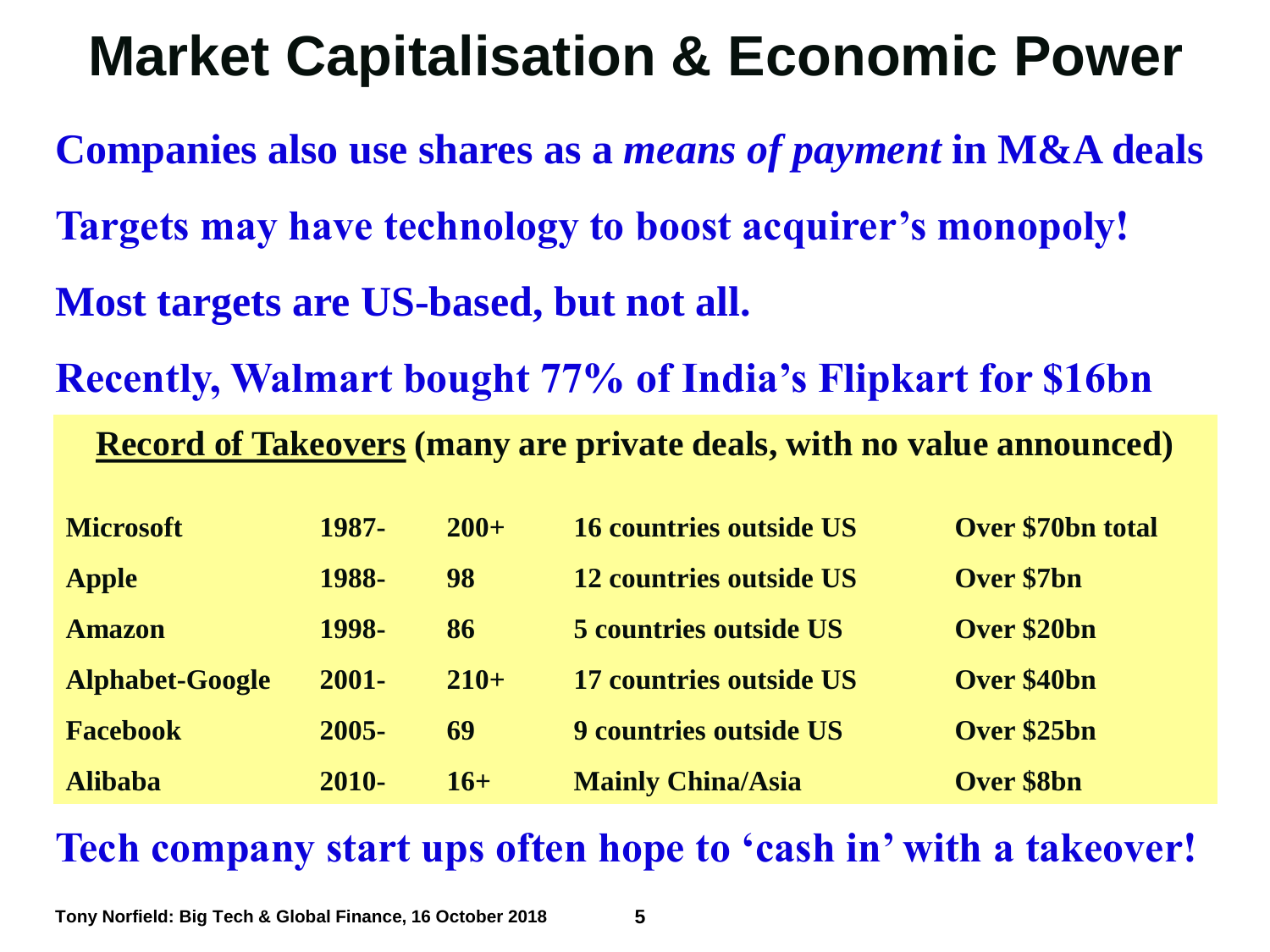## **Market Capitalisation & Economic Power**

**Companies also use shares as a** *means of payment* **in M&A deals Targets may have technology to boost acquirer's monopoly! Most targets are US-based, but not all.**

**Recently, Walmart bought 77% of India's Flipkart for \$16bn**

**Record of Takeovers (many are private deals, with no value announced)**

| <b>Microsoft</b> | 1987-    | $200+$ | <b>16 countries outside US</b> | Over \$70bn total |
|------------------|----------|--------|--------------------------------|-------------------|
| <b>Apple</b>     | 1988-    | 98     | 12 countries outside US        | Over \$7bn        |
| <b>Amazon</b>    | 1998-    | 86     | <b>5 countries outside US</b>  | Over \$20bn       |
| Alphabet-Google  | $2001 -$ | $210+$ | 17 countries outside US        | Over \$40bn       |
| <b>Facebook</b>  | $2005 -$ | 69     | 9 countries outside US         | Over \$25bn       |
| <b>Alibaba</b>   | $2010 -$ | $16+$  | <b>Mainly China/Asia</b>       | <b>Over \$8bn</b> |

**Tech company start ups often hope to 'cash in' with a takeover!** 

**Tony Norfield: Big Tech & Global Finance, 16 October 2018 5**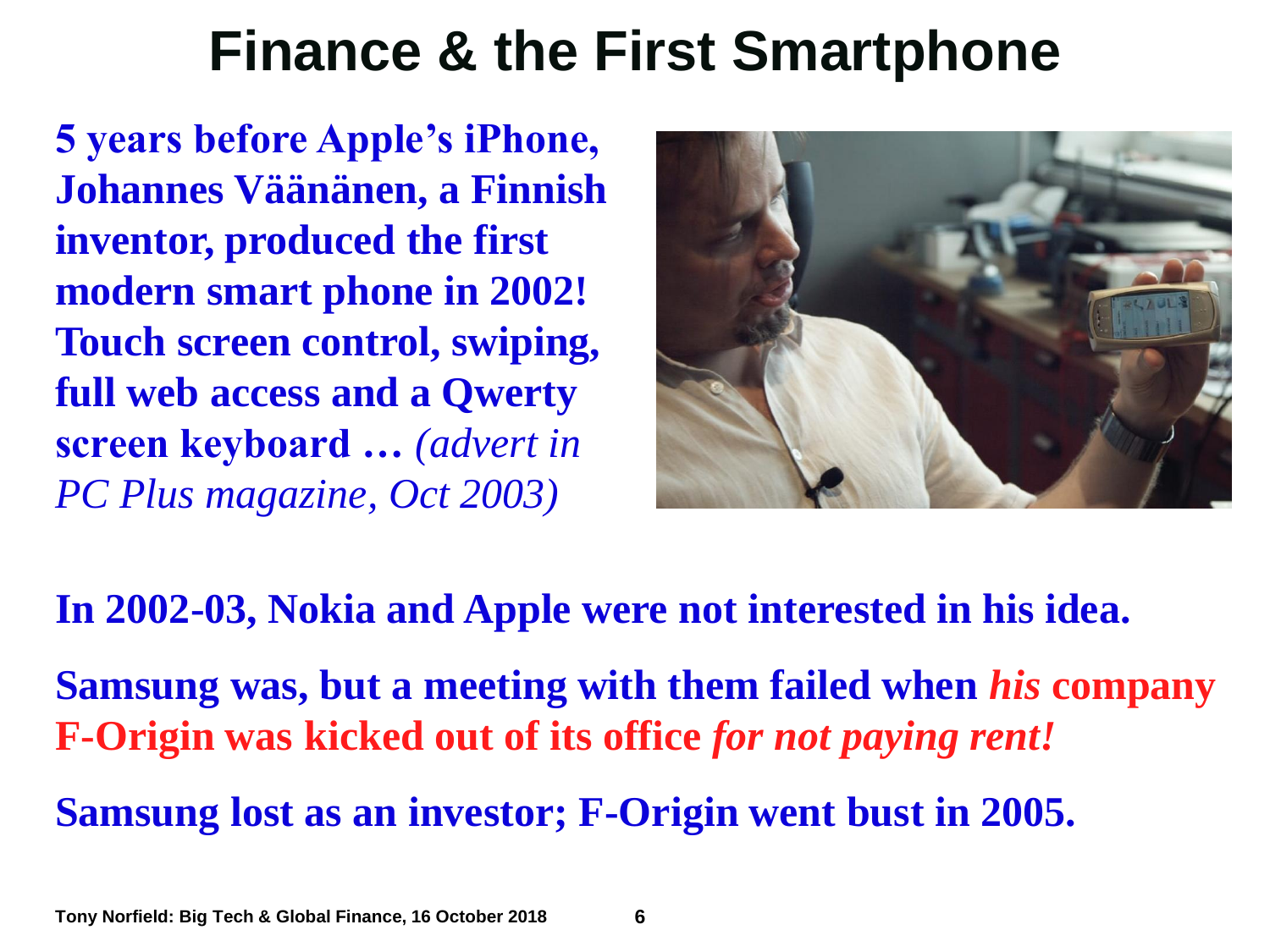### **Finance & the First Smartphone**

**5 years before Apple's iPhone, Johannes Väänänen, a Finnish inventor, produced the first modern smart phone in 2002! Touch screen control, swiping, full web access and a Qwerty screen keyboard …** *(advert in PC Plus magazine, Oct 2003)*



#### **In 2002-03, Nokia and Apple were not interested in his idea.**

**Samsung was, but a meeting with them failed when** *his* **company F-Origin was kicked out of its office** *for not paying rent!*

**Samsung lost as an investor; F-Origin went bust in 2005.**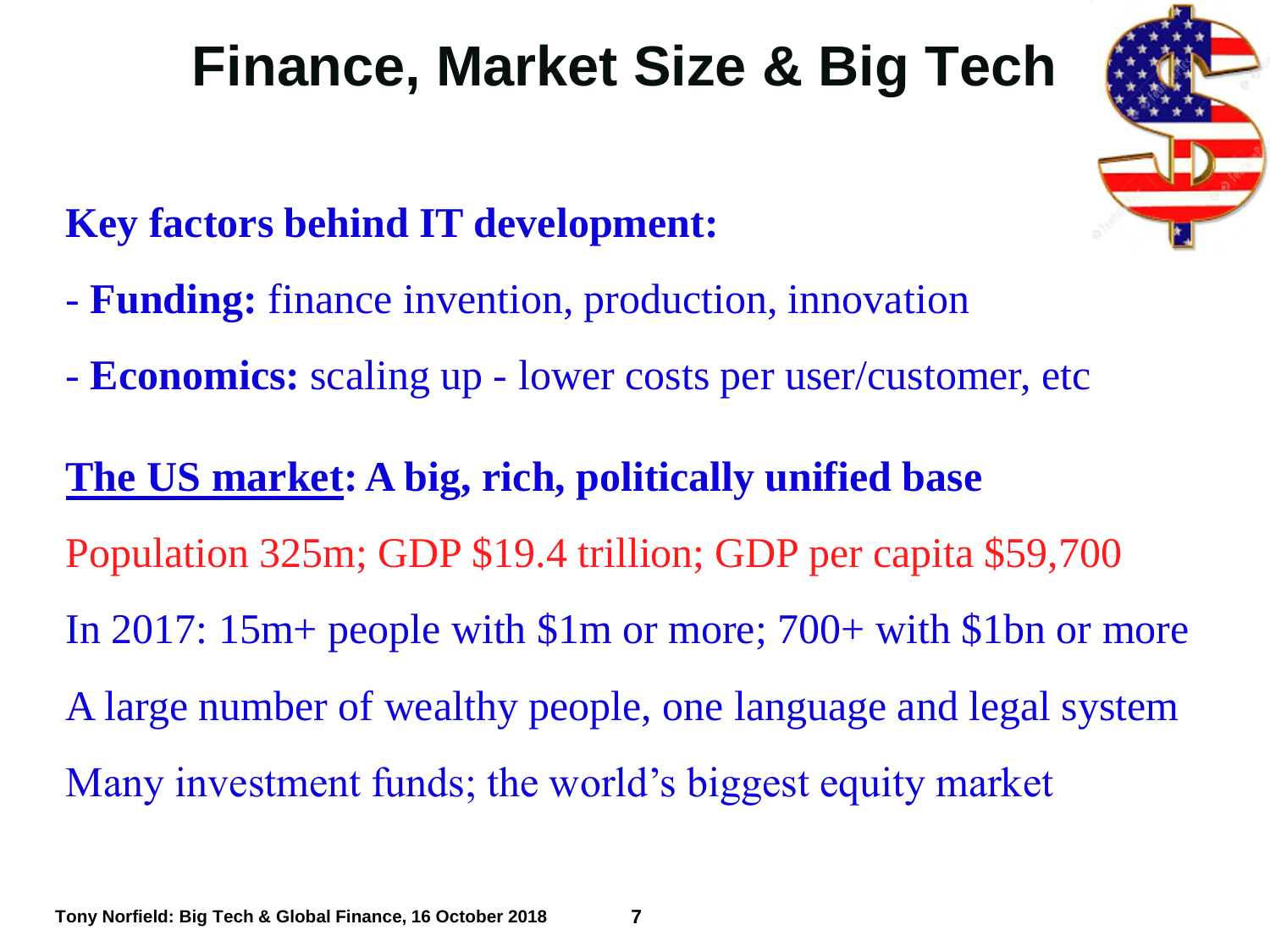## **Finance, Market Size & Big Tech**

#### **Key factors behind IT development:**

- **Funding:** finance invention, production, innovation
- **Economics:** scaling up lower costs per user/customer, etc

# **The US market: A big, rich, politically unified base** Population 325m; GDP \$19.4 trillion; GDP per capita \$59,700 In 2017: 15m+ people with \$1m or more; 700+ with \$1bn or more A large number of wealthy people, one language and legal system Many investment funds; the world's biggest equity market

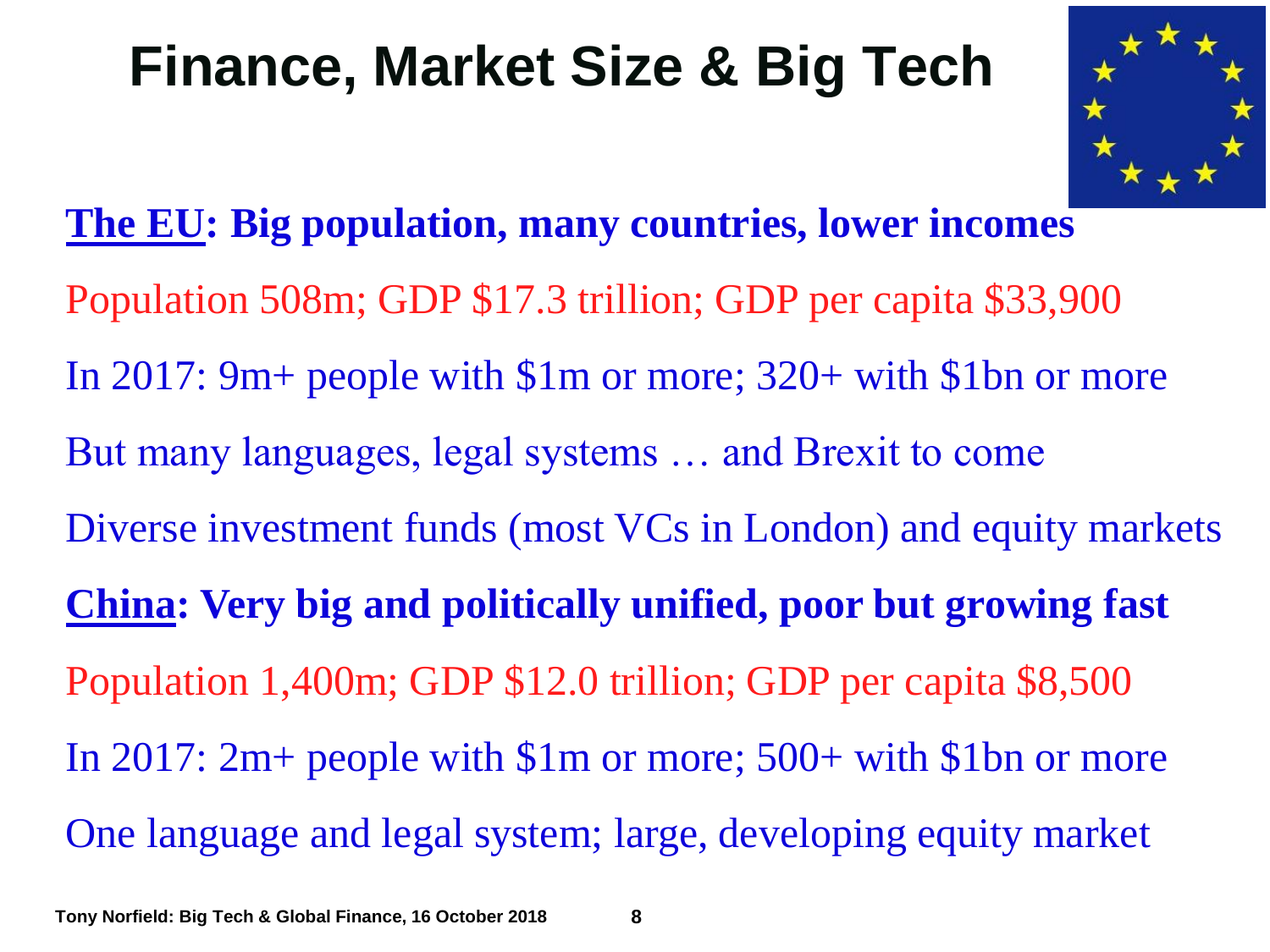### **Finance, Market Size & Big Tech**



**The EU: Big population, many countries, lower incomes** Population 508m; GDP \$17.3 trillion; GDP per capita \$33,900 In 2017: 9m+ people with \$1m or more; 320+ with \$1bn or more But many languages, legal systems … and Brexit to come Diverse investment funds (most VCs in London) and equity markets **China: Very big and politically unified, poor but growing fast** Population 1,400m; GDP \$12.0 trillion; GDP per capita \$8,500 In 2017: 2m+ people with \$1m or more; 500+ with \$1bn or more One language and legal system; large, developing equity market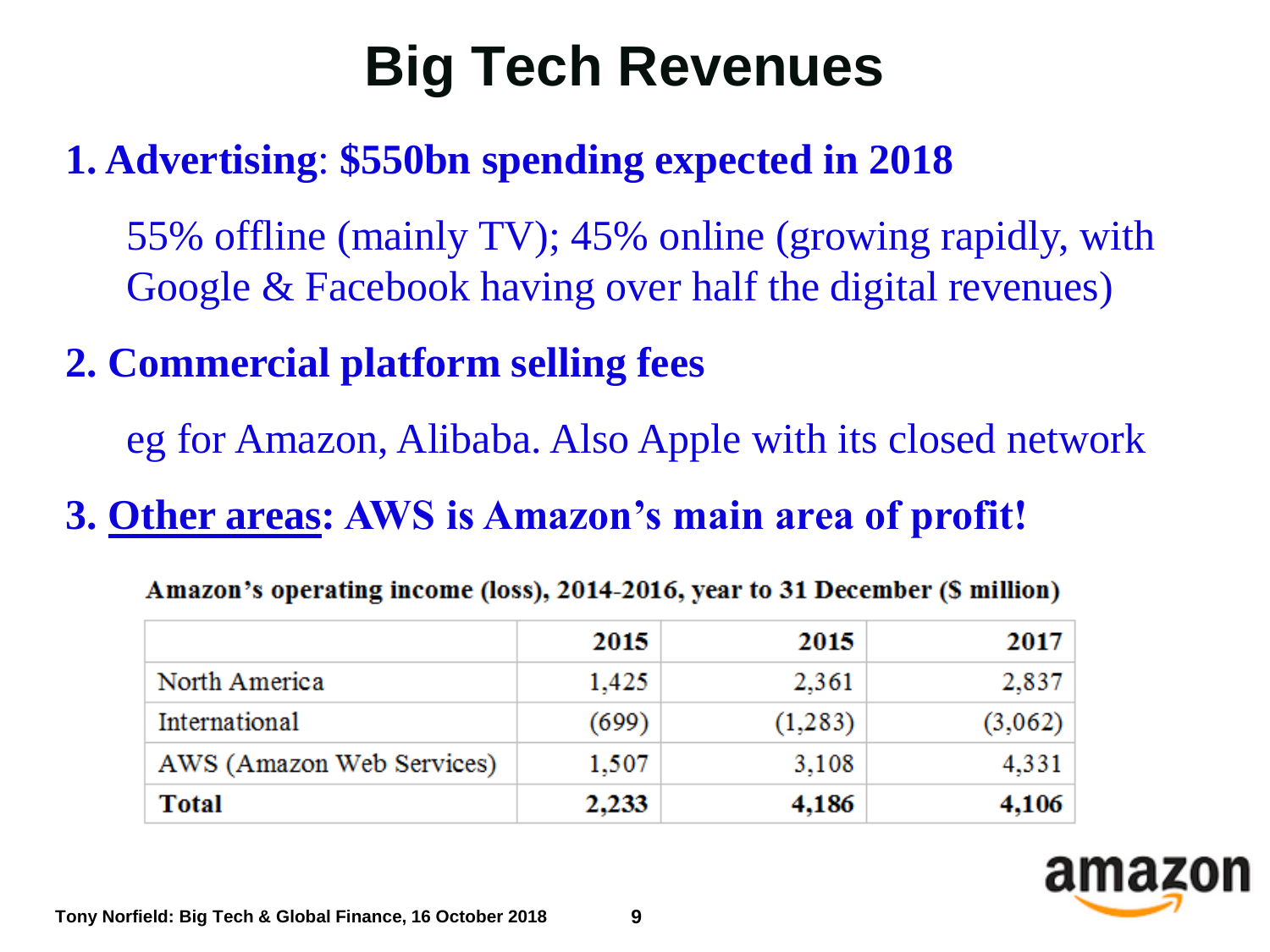# **Big Tech Revenues**

#### **1. Advertising**: **\$550bn spending expected in 2018**

55% offline (mainly TV); 45% online (growing rapidly, with Google & Facebook having over half the digital revenues)

#### **2. Commercial platform selling fees**

eg for Amazon, Alibaba. Also Apple with its closed network

#### **3. Other areas: AWS is Amazon's main area of profit!**

|                           | 2015  | 2015    | 2017    |
|---------------------------|-------|---------|---------|
| North America             | 1,425 | 2,361   | 2,837   |
| International             | (699) | (1,283) | (3,062) |
| AWS (Amazon Web Services) | 1,507 | 3,108   | 4,331   |
| Total                     | 2,233 | 4,186   | 4,106   |

Amazon's operating income (loss), 2014-2016, year to 31 December (\$ million)

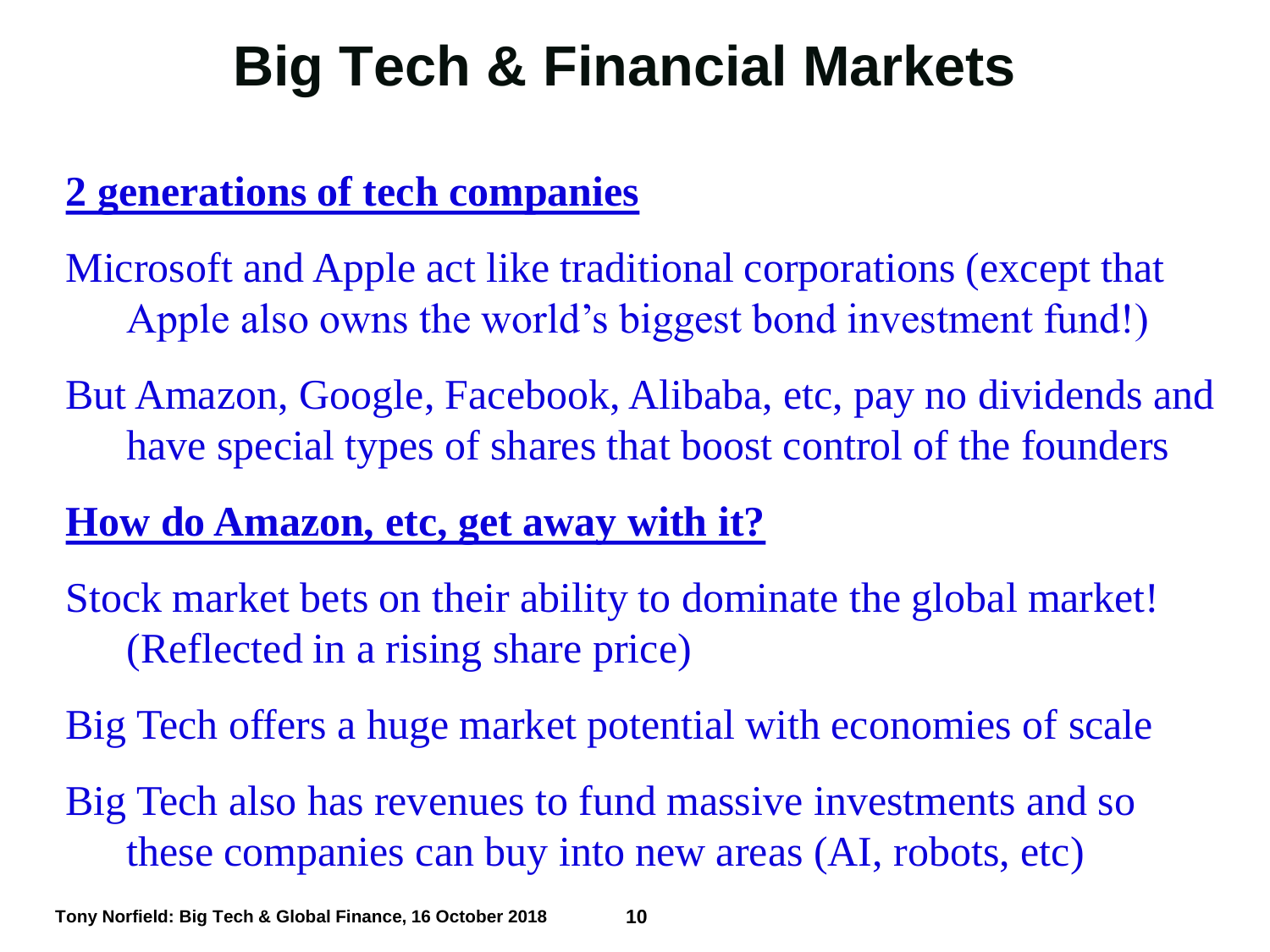## **Big Tech & Financial Markets**

#### **2 generations of tech companies**

Microsoft and Apple act like traditional corporations (except that Apple also owns the world's biggest bond investment fund!)

But Amazon, Google, Facebook, Alibaba, etc, pay no dividends and have special types of shares that boost control of the founders

#### **How do Amazon, etc, get away with it?**

- Stock market bets on their ability to dominate the global market! (Reflected in a rising share price)
- Big Tech offers a huge market potential with economies of scale
- Big Tech also has revenues to fund massive investments and so these companies can buy into new areas (AI, robots, etc)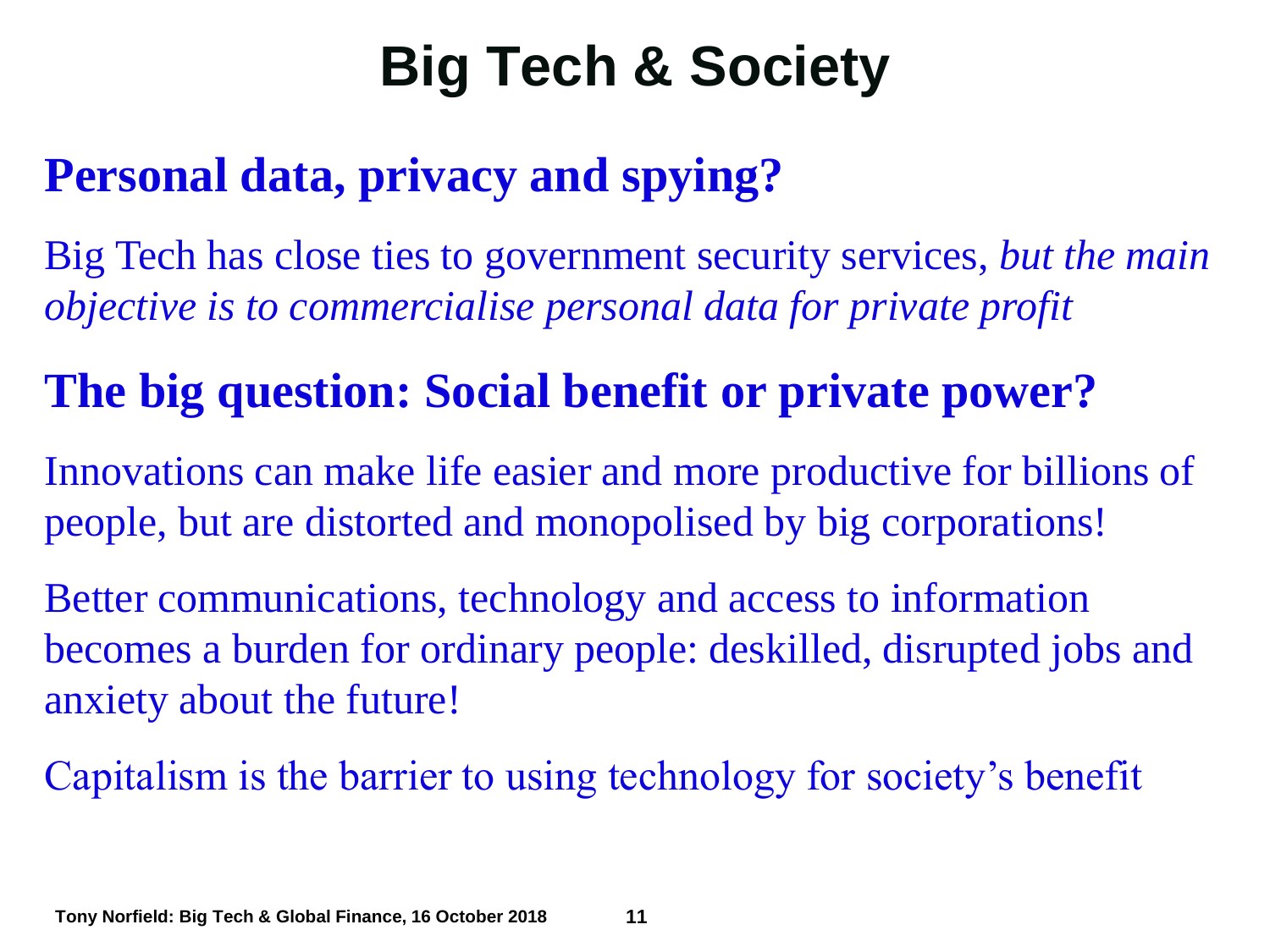## **Big Tech & Society**

### **Personal data, privacy and spying?**

Big Tech has close ties to government security services, *but the main objective is to commercialise personal data for private profit*

### **The big question: Social benefit or private power?**

Innovations can make life easier and more productive for billions of people, but are distorted and monopolised by big corporations!

Better communications, technology and access to information becomes a burden for ordinary people: deskilled, disrupted jobs and anxiety about the future!

Capitalism is the barrier to using technology for society's benefit